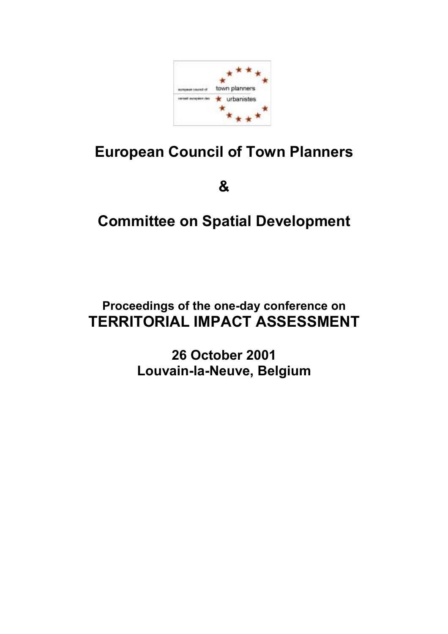

# **European Council of Town Planners**

**&** 

# **Committee on Spatial Development**

# **Proceedings of the one-day conference on TERRITORIAL IMPACT ASSESSMENT**

**26 October 2001 Louvain-la-Neuve, Belgium**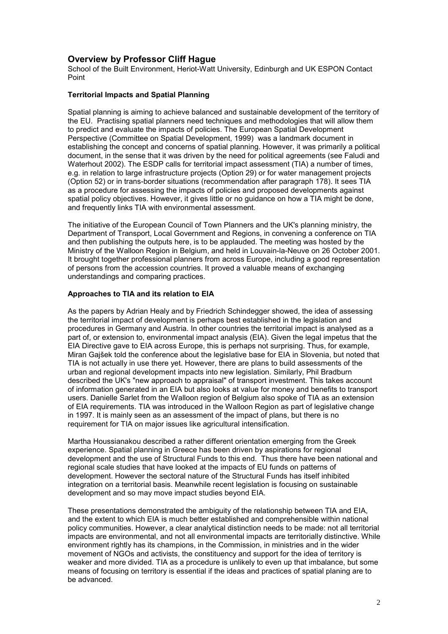# **Overview by Professor Cliff Hague**

School of the Built Environment, Heriot-Watt University, Edinburgh and UK ESPON Contact Point

### **Territorial Impacts and Spatial Planning**

Spatial planning is aiming to achieve balanced and sustainable development of the territory of the EU. Practising spatial planners need techniques and methodologies that will allow them to predict and evaluate the impacts of policies. The European Spatial Development Perspective (Committee on Spatial Development, 1999) was a landmark document in establishing the concept and concerns of spatial planning. However, it was primarily a political document, in the sense that it was driven by the need for political agreements (see Faludi and Waterhout 2002). The ESDP calls for territorial impact assessment (TIA) a number of times, e.g. in relation to large infrastructure projects (Option 29) or for water management projects (Option 52) or in trans-border situations (recommendation after paragraph 178). It sees TIA as a procedure for assessing the impacts of policies and proposed developments against spatial policy objectives. However, it gives little or no guidance on how a TIA might be done, and frequently links TIA with environmental assessment.

The initiative of the European Council of Town Planners and the UK's planning ministry, the Department of Transport, Local Government and Regions, in convening a conference on TIA and then publishing the outputs here, is to be applauded. The meeting was hosted by the Ministry of the Walloon Region in Belgium, and held in Louvain-la-Neuve on 26 October 2001. It brought together professional planners from across Europe, including a good representation of persons from the accession countries. It proved a valuable means of exchanging understandings and comparing practices.

### **Approaches to TIA and its relation to EIA**

As the papers by Adrian Healy and by Friedrich Schindegger showed, the idea of assessing the territorial impact of development is perhaps best established in the legislation and procedures in Germany and Austria. In other countries the territorial impact is analysed as a part of, or extension to, environmental impact analysis (EIA). Given the legal impetus that the EIA Directive gave to EIA across Europe, this is perhaps not surprising. Thus, for example, Miran Gajöek told the conference about the legislative base for EIA in Slovenia, but noted that TIA is not actually in use there yet. However, there are plans to build assessments of the urban and regional development impacts into new legislation. Similarly, Phil Bradburn described the UK's "new approach to appraisal" of transport investment. This takes account of information generated in an EIA but also looks at value for money and benefits to transport users. Danielle Sarlet from the Walloon region of Belgium also spoke of TIA as an extension of EIA requirements. TIA was introduced in the Walloon Region as part of legislative change in 1997. It is mainly seen as an assessment of the impact of plans, but there is no requirement for TIA on major issues like agricultural intensification.

Martha Houssianakou described a rather different orientation emerging from the Greek experience. Spatial planning in Greece has been driven by aspirations for regional development and the use of Structural Funds to this end. Thus there have been national and regional scale studies that have looked at the impacts of EU funds on patterns of development. However the sectoral nature of the Structural Funds has itself inhibited integration on a territorial basis. Meanwhile recent legislation is focusing on sustainable development and so may move impact studies beyond EIA.

These presentations demonstrated the ambiguity of the relationship between TIA and EIA, and the extent to which EIA is much better established and comprehensible within national policy communities. However, a clear analytical distinction needs to be made: not all territorial impacts are environmental, and not all environmental impacts are territorially distinctive. While environment rightly has its champions, in the Commission, in ministries and in the wider movement of NGOs and activists, the constituency and support for the idea of territory is weaker and more divided. TIA as a procedure is unlikely to even up that imbalance, but some means of focusing on territory is essential if the ideas and practices of spatial planing are to be advanced.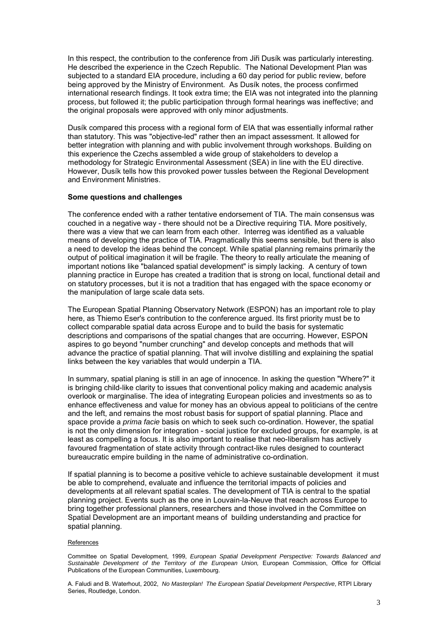In this respect, the contribution to the conference from Jiři Dusík was particularly interesting. He described the experience in the Czech Republic. The National Development Plan was subjected to a standard EIA procedure, including a 60 day period for public review, before being approved by the Ministry of Environment. As Dusík notes, the process confirmed international research findings. It took extra time; the EIA was not integrated into the planning process, but followed it; the public participation through formal hearings was ineffective; and the original proposals were approved with only minor adjustments.

Dusík compared this process with a regional form of EIA that was essentially informal rather than statutory. This was "objective-led" rather then an impact assessment. It allowed for better integration with planning and with public involvement through workshops. Building on this experience the Czechs assembled a wide group of stakeholders to develop a methodology for Strategic Environmental Assessment (SEA) in line with the EU directive. However, Dusík tells how this provoked power tussles between the Regional Development and Environment Ministries.

### **Some questions and challenges**

The conference ended with a rather tentative endorsement of TIA. The main consensus was couched in a negative way - there should not be a Directive requiring TIA. More positively, there was a view that we can learn from each other. Interreg was identified as a valuable means of developing the practice of TIA. Pragmatically this seems sensible, but there is also a need to develop the ideas behind the concept. While spatial planning remains primarily the output of political imagination it will be fragile. The theory to really articulate the meaning of important notions like "balanced spatial development" is simply lacking. A century of town planning practice in Europe has created a tradition that is strong on local, functional detail and on statutory processes, but it is not a tradition that has engaged with the space economy or the manipulation of large scale data sets.

The European Spatial Planning Observatory Network (ESPON) has an important role to play here, as Thiemo Eser's contribution to the conference argued. Its first priority must be to collect comparable spatial data across Europe and to build the basis for systematic descriptions and comparisons of the spatial changes that are occurring. However, ESPON aspires to go beyond "number crunching" and develop concepts and methods that will advance the practice of spatial planning. That will involve distilling and explaining the spatial links between the key variables that would underpin a TIA.

In summary, spatial planing is still in an age of innocence. In asking the question "Where?" it is bringing child-like clarity to issues that conventional policy making and academic analysis overlook or marginalise. The idea of integrating European policies and investments so as to enhance effectiveness and value for money has an obvious appeal to politicians of the centre and the left, and remains the most robust basis for support of spatial planning. Place and space provide a *prima facie* basis on which to seek such co-ordination. However, the spatial is not the only dimension for integration - social justice for excluded groups, for example, is at least as compelling a focus. It is also important to realise that neo-liberalism has actively favoured fragmentation of state activity through contract-like rules designed to counteract bureaucratic empire building in the name of administrative co-ordination.

If spatial planning is to become a positive vehicle to achieve sustainable development it must be able to comprehend, evaluate and influence the territorial impacts of policies and developments at all relevant spatial scales. The development of TIA is central to the spatial planning project. Events such as the one in Louvain-la-Neuve that reach across Europe to bring together professional planners, researchers and those involved in the Committee on Spatial Development are an important means of building understanding and practice for spatial planning.

#### References

Committee on Spatial Development, 1999, *European Spatial Development Perspective: Towards Balanced and Sustainable Development of the Territory of the European Union,* European Commission, Office for Official Publications of the European Communities, Luxembourg.

A. Faludi and B. Waterhout, 2002, *No Masterplan! The European Spatial Development Perspective*, RTPI Library Series, Routledge, London.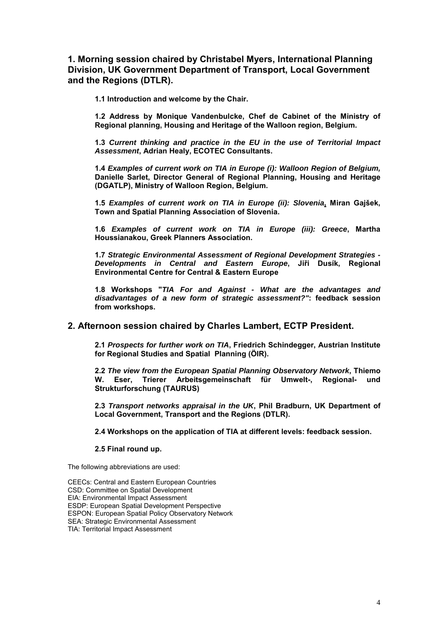# **1. Morning session chaired by Christabel Myers, International Planning Division, UK Government Department of Transport, Local Government and the Regions (DTLR).**

**1.1 Introduction and welcome by the Chair.** 

**1.2 Address by Monique Vandenbulcke, Chef de Cabinet of the Ministry of Regional planning, Housing and Heritage of the Walloon region, Belgium.** 

**1.3** *Current thinking and practice in the EU in the use of Territorial Impact Assessment***, Adrian Healy, ECOTEC Consultants.** 

**1.4** *Examples of current work on TIA in Europe (i): Walloon Region of Belgium,* **Danielle Sarlet, Director General of Regional Planning, Housing and Heritage (DGATLP), Ministry of Walloon Region, Belgium.** 

**1.5** *Examples of current work on TIA in Europe (ii): Slovenia***, Miran Gajöek, Town and Spatial Planning Association of Slovenia.** 

**1.6** *Examples of current work on TIA in Europe (iii): Greece***, Martha Houssianakou, Greek Planners Association.** 

**1.7** *Strategic Environmental Assessment of Regional Development Strategies - Developments in Central and Eastern Europe***, Jiři DusÌk, Regional Environmental Centre for Central & Eastern Europe** 

**1.8 Workshops "***TIA For and Against - What are the advantages and disadvantages of a new form of strategic assessment?"***: feedback session from workshops.** 

## **2. Afternoon session chaired by Charles Lambert, ECTP President.**

**2.1** *Prospects for further work on TIA***, Friedrich Schindegger, Austrian Institute**  for Regional Studies and Spatial Planning (ÖIR).

**2.2** *The view from the European Spatial Planning Observatory Network***, Thiemo**  W. Eser, Trierer Arbeitsgemeinschaft für Umwelt-, Regional- und **Strukturforschung (TAURUS)** 

**2.3** *Transport networks appraisal in the UK***, Phil Bradburn, UK Department of Local Government, Transport and the Regions (DTLR).** 

**2.4 Workshops on the application of TIA at different levels: feedback session.** 

#### **2.5 Final round up.**

The following abbreviations are used:

CEECs: Central and Eastern European Countries CSD: Committee on Spatial Development EIA: Environmental Impact Assessment ESDP: European Spatial Development Perspective ESPON: European Spatial Policy Observatory Network SEA: Strategic Environmental Assessment TIA: Territorial Impact Assessment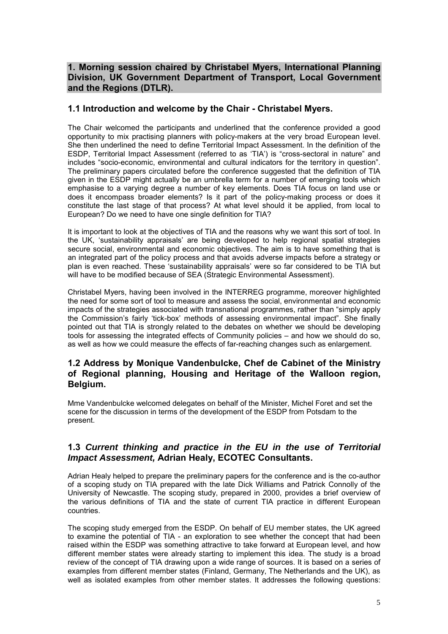# **1. Morning session chaired by Christabel Myers, International Planning Division, UK Government Department of Transport, Local Government and the Regions (DTLR).**

# **1.1 Introduction and welcome by the Chair - Christabel Myers.**

The Chair welcomed the participants and underlined that the conference provided a good opportunity to mix practising planners with policy-makers at the very broad European level. She then underlined the need to define Territorial Impact Assessment. In the definition of the ESDP, Territorial Impact Assessment (referred to as 'TIA') is "cross-sectoral in nature" and includes "socio-economic, environmental and cultural indicators for the territory in question". The preliminary papers circulated before the conference suggested that the definition of TIA given in the ESDP might actually be an umbrella term for a number of emerging tools which emphasise to a varying degree a number of key elements. Does TIA focus on land use or does it encompass broader elements? Is it part of the policy-making process or does it constitute the last stage of that process? At what level should it be applied, from local to European? Do we need to have one single definition for TIA?

It is important to look at the objectives of TIA and the reasons why we want this sort of tool. In the UK, ësustainability appraisalsí are being developed to help regional spatial strategies secure social, environmental and economic objectives. The aim is to have something that is an integrated part of the policy process and that avoids adverse impacts before a strategy or plan is even reached. These 'sustainability appraisals' were so far considered to be TIA but will have to be modified because of SEA (Strategic Environmental Assessment).

Christabel Myers, having been involved in the INTERREG programme, moreover highlighted the need for some sort of tool to measure and assess the social, environmental and economic impacts of the strategies associated with transnational programmes, rather than "simply apply the Commission's fairly 'tick-box' methods of assessing environmental impact". She finally pointed out that TIA is strongly related to the debates on whether we should be developing tools for assessing the integrated effects of Community policies – and how we should do so, as well as how we could measure the effects of far-reaching changes such as enlargement.

# **1.2 Address by Monique Vandenbulcke, Chef de Cabinet of the Ministry of Regional planning, Housing and Heritage of the Walloon region, Belgium.**

Mme Vandenbulcke welcomed delegates on behalf of the Minister, Michel Foret and set the scene for the discussion in terms of the development of the ESDP from Potsdam to the present.

# **1.3** *Current thinking and practice in the EU in the use of Territorial Impact Assessment,* **Adrian Healy, ECOTEC Consultants.**

Adrian Healy helped to prepare the preliminary papers for the conference and is the co-author of a scoping study on TIA prepared with the late Dick Williams and Patrick Connolly of the University of Newcastle. The scoping study, prepared in 2000, provides a brief overview of the various definitions of TIA and the state of current TIA practice in different European countries.

The scoping study emerged from the ESDP. On behalf of EU member states, the UK agreed to examine the potential of TIA - an exploration to see whether the concept that had been raised within the ESDP was something attractive to take forward at European level, and how different member states were already starting to implement this idea. The study is a broad review of the concept of TIA drawing upon a wide range of sources. It is based on a series of examples from different member states (Finland, Germany, The Netherlands and the UK), as well as isolated examples from other member states. It addresses the following questions: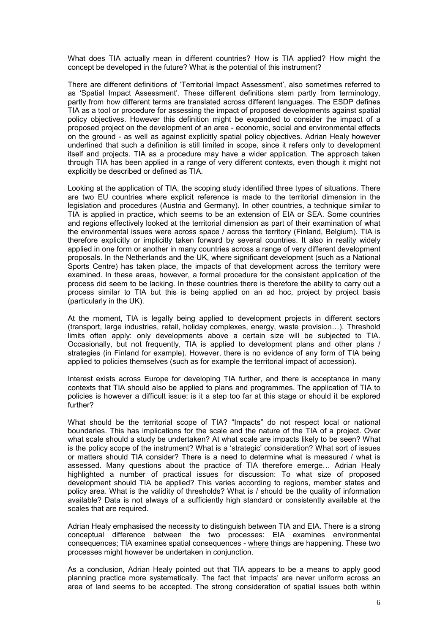What does TIA actually mean in different countries? How is TIA applied? How might the concept be developed in the future? What is the potential of this instrument?

There are different definitions of 'Territorial Impact Assessment', also sometimes referred to as 'Spatial Impact Assessment'. These different definitions stem partly from terminology, partly from how different terms are translated across different languages. The ESDP defines TIA as a tool or procedure for assessing the impact of proposed developments against spatial policy objectives. However this definition might be expanded to consider the impact of a proposed project on the development of an area - economic, social and environmental effects on the ground - as well as against explicitly spatial policy objectives. Adrian Healy however underlined that such a definition is still limited in scope, since it refers only to development itself and projects. TIA as a procedure may have a wider application. The approach taken through TIA has been applied in a range of very different contexts, even though it might not explicitly be described or defined as TIA.

Looking at the application of TIA, the scoping study identified three types of situations. There are two EU countries where explicit reference is made to the territorial dimension in the legislation and procedures (Austria and Germany). In other countries, a technique similar to TIA is applied in practice, which seems to be an extension of EIA or SEA. Some countries and regions effectively looked at the territorial dimension as part of their examination of what the environmental issues were across space / across the territory (Finland, Belgium). TIA is therefore explicitly or implicitly taken forward by several countries. It also in reality widely applied in one form or another in many countries across a range of very different development proposals. In the Netherlands and the UK, where significant development (such as a National Sports Centre) has taken place, the impacts of that development across the territory were examined. In these areas, however, a formal procedure for the consistent application of the process did seem to be lacking. In these countries there is therefore the ability to carry out a process similar to TIA but this is being applied on an ad hoc, project by project basis (particularly in the UK).

At the moment, TIA is legally being applied to development projects in different sectors (transport, large industries, retail, holiday complexes, energy, waste provision...). Threshold limits often apply: only developments above a certain size will be subjected to TIA. Occasionally, but not frequently, TIA is applied to development plans and other plans / strategies (in Finland for example). However, there is no evidence of any form of TIA being applied to policies themselves (such as for example the territorial impact of accession).

Interest exists across Europe for developing TIA further, and there is acceptance in many contexts that TIA should also be applied to plans and programmes. The application of TIA to policies is however a difficult issue: is it a step too far at this stage or should it be explored further?

What should be the territorial scope of TIA? "Impacts" do not respect local or national boundaries. This has implications for the scale and the nature of the TIA of a project. Over what scale should a study be undertaken? At what scale are impacts likely to be seen? What is the policy scope of the instrument? What is a 'strategic' consideration? What sort of issues or matters should TIA consider? There is a need to determine what is measured / what is assessed. Many questions about the practice of TIA therefore emerge... Adrian Healy highlighted a number of practical issues for discussion: To what size of proposed development should TIA be applied? This varies according to regions, member states and policy area. What is the validity of thresholds? What is / should be the quality of information available? Data is not always of a sufficiently high standard or consistently available at the scales that are required.

Adrian Healy emphasised the necessity to distinguish between TIA and EIA. There is a strong conceptual difference between the two processes: EIA examines environmental consequences; TIA examines spatial consequences - where things are happening. These two processes might however be undertaken in conjunction.

As a conclusion, Adrian Healy pointed out that TIA appears to be a means to apply good planning practice more systematically. The fact that 'impacts' are never uniform across an area of land seems to be accepted. The strong consideration of spatial issues both within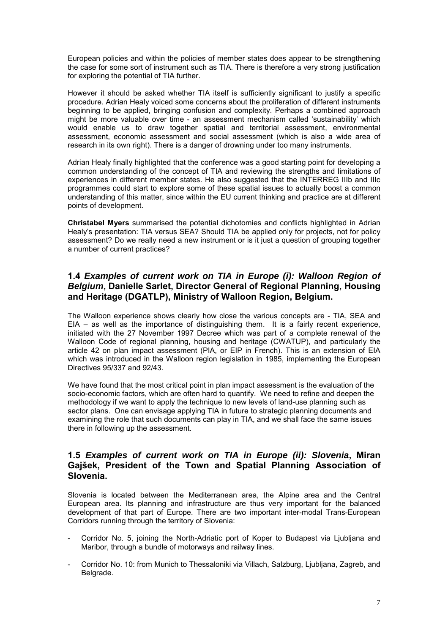European policies and within the policies of member states does appear to be strengthening the case for some sort of instrument such as TIA. There is therefore a very strong justification for exploring the potential of TIA further.

However it should be asked whether TIA itself is sufficiently significant to justify a specific procedure. Adrian Healy voiced some concerns about the proliferation of different instruments beginning to be applied, bringing confusion and complexity. Perhaps a combined approach might be more valuable over time - an assessment mechanism called ësustainabilityí which would enable us to draw together spatial and territorial assessment, environmental assessment, economic assessment and social assessment (which is also a wide area of research in its own right). There is a danger of drowning under too many instruments.

Adrian Healy finally highlighted that the conference was a good starting point for developing a common understanding of the concept of TIA and reviewing the strengths and limitations of experiences in different member states. He also suggested that the INTERREG IIIb and IIIc programmes could start to explore some of these spatial issues to actually boost a common understanding of this matter, since within the EU current thinking and practice are at different points of development.

**Christabel Myers** summarised the potential dichotomies and conflicts highlighted in Adrian Healyís presentation: TIA versus SEA? Should TIA be applied only for projects, not for policy assessment? Do we really need a new instrument or is it just a question of grouping together a number of current practices?

# **1.4** *Examples of current work on TIA in Europe (i): Walloon Region of Belgium***, Danielle Sarlet, Director General of Regional Planning, Housing and Heritage (DGATLP), Ministry of Walloon Region, Belgium.**

The Walloon experience shows clearly how close the various concepts are - TIA, SEA and  $EIA - as$  well as the importance of distinguishing them. It is a fairly recent experience, initiated with the 27 November 1997 Decree which was part of a complete renewal of the Walloon Code of regional planning, housing and heritage (CWATUP), and particularly the article 42 on plan impact assessment (PIA, or EIP in French). This is an extension of EIA which was introduced in the Walloon region legislation in 1985, implementing the European Directives 95/337 and 92/43.

We have found that the most critical point in plan impact assessment is the evaluation of the socio-economic factors, which are often hard to quantify. We need to refine and deepen the methodology if we want to apply the technique to new levels of land-use planning such as sector plans. One can envisage applying TIA in future to strategic planning documents and examining the role that such documents can play in TIA, and we shall face the same issues there in following up the assessment.

## **1.5** *Examples of current work on TIA in Europe (ii): Slovenia***, Miran Gajöek, President of the Town and Spatial Planning Association of Slovenia.**

Slovenia is located between the Mediterranean area, the Alpine area and the Central European area. Its planning and infrastructure are thus very important for the balanced development of that part of Europe. There are two important inter-modal Trans-European Corridors running through the territory of Slovenia:

- Corridor No. 5, joining the North-Adriatic port of Koper to Budapest via Ljubljana and Maribor, through a bundle of motorways and railway lines.
- Corridor No. 10: from Munich to Thessaloniki via Villach, Salzburg, Ljubljana, Zagreb, and Belgrade.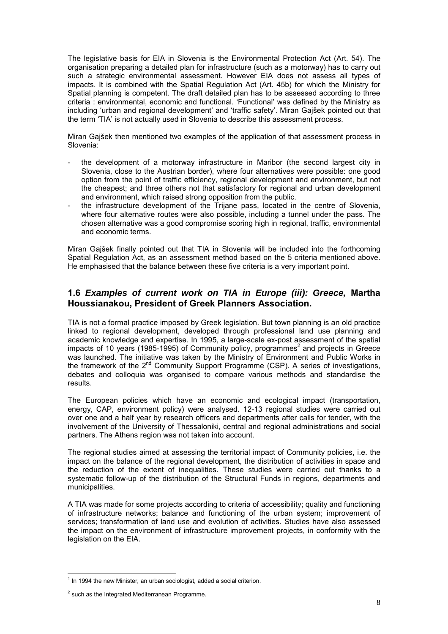The legislative basis for EIA in Slovenia is the Environmental Protection Act (Art. 54). The organisation preparing a detailed plan for infrastructure (such as a motorway) has to carry out such a strategic environmental assessment. However EIA does not assess all types of impacts. It is combined with the Spatial Regulation Act (Art. 45b) for which the Ministry for Spatial planning is competent. The draft detailed plan has to be assessed according to three criteria<sup>1</sup>: environmental, economic and functional. 'Functional' was defined by the Ministry as including 'urban and regional development' and 'traffic safety'. Miran Gajšek pointed out that the term 'TIA' is not actually used in Slovenia to describe this assessment process.

Miran Gajöek then mentioned two examples of the application of that assessment process in Slovenia:

- the development of a motorway infrastructure in Maribor (the second largest city in Slovenia, close to the Austrian border), where four alternatives were possible: one good option from the point of traffic efficiency, regional development and environment, but not the cheapest; and three others not that satisfactory for regional and urban development and environment, which raised strong opposition from the public.
- the infrastructure development of the Trijane pass, located in the centre of Slovenia, where four alternative routes were also possible, including a tunnel under the pass. The chosen alternative was a good compromise scoring high in regional, traffic, environmental and economic terms.

Miran Gajöek finally pointed out that TIA in Slovenia will be included into the forthcoming Spatial Regulation Act, as an assessment method based on the 5 criteria mentioned above. He emphasised that the balance between these five criteria is a very important point.

## **1.6** *Examples of current work on TIA in Europe (iii): Greece,* **Martha Houssianakou, President of Greek Planners Association.**

TIA is not a formal practice imposed by Greek legislation. But town planning is an old practice linked to regional development, developed through professional land use planning and academic knowledge and expertise. In 1995, a large-scale ex-post assessment of the spatial impacts of 10 years (1985-1995) of Community policy, programmes<sup>2</sup> and projects in Greece was launched. The initiative was taken by the Ministry of Environment and Public Works in the framework of the  $2<sup>nd</sup>$  Community Support Programme (CSP). A series of investigations, debates and colloquia was organised to compare various methods and standardise the results.

The European policies which have an economic and ecological impact (transportation, energy, CAP, environment policy) were analysed. 12-13 regional studies were carried out over one and a half year by research officers and departments after calls for tender, with the involvement of the University of Thessaloniki, central and regional administrations and social partners. The Athens region was not taken into account.

The regional studies aimed at assessing the territorial impact of Community policies, i.e. the impact on the balance of the regional development, the distribution of activities in space and the reduction of the extent of inequalities. These studies were carried out thanks to a systematic follow-up of the distribution of the Structural Funds in regions, departments and municipalities.

A TIA was made for some projects according to criteria of accessibility; quality and functioning of infrastructure networks; balance and functioning of the urban system; improvement of services; transformation of land use and evolution of activities. Studies have also assessed the impact on the environment of infrastructure improvement projects, in conformity with the legislation on the EIA.

l  $1$  In 1994 the new Minister, an urban sociologist, added a social criterion.

 $2$  such as the Integrated Mediterranean Programme.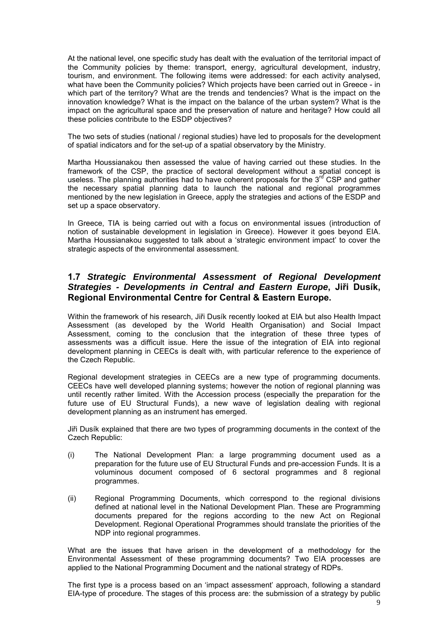At the national level, one specific study has dealt with the evaluation of the territorial impact of the Community policies by theme: transport, energy, agricultural development, industry, tourism, and environment. The following items were addressed: for each activity analysed, what have been the Community policies? Which projects have been carried out in Greece - in which part of the territory? What are the trends and tendencies? What is the impact on the innovation knowledge? What is the impact on the balance of the urban system? What is the impact on the agricultural space and the preservation of nature and heritage? How could all these policies contribute to the ESDP objectives?

The two sets of studies (national / regional studies) have led to proposals for the development of spatial indicators and for the set-up of a spatial observatory by the Ministry.

Martha Houssianakou then assessed the value of having carried out these studies. In the framework of the CSP, the practice of sectoral development without a spatial concept is useless. The planning authorities had to have coherent proposals for the  $3<sup>rd</sup>$  CSP and gather the necessary spatial planning data to launch the national and regional programmes mentioned by the new legislation in Greece, apply the strategies and actions of the ESDP and set up a space observatory.

In Greece, TIA is being carried out with a focus on environmental issues (introduction of notion of sustainable development in legislation in Greece). However it goes beyond EIA. Martha Houssianakou suggested to talk about a 'strategic environment impact' to cover the strategic aspects of the environmental assessment.

# **1.7** *Strategic Environmental Assessment of Regional Development Strategies - Developments in Central and Eastern Europe***, Jiři DusÌk, Regional Environmental Centre for Central & Eastern Europe.**

Within the framework of his research, Jiři Dusík recently looked at EIA but also Health Impact Assessment (as developed by the World Health Organisation) and Social Impact Assessment, coming to the conclusion that the integration of these three types of assessments was a difficult issue. Here the issue of the integration of EIA into regional development planning in CEECs is dealt with, with particular reference to the experience of the Czech Republic.

Regional development strategies in CEECs are a new type of programming documents. CEECs have well developed planning systems; however the notion of regional planning was until recently rather limited. With the Accession process (especially the preparation for the future use of EU Structural Funds), a new wave of legislation dealing with regional development planning as an instrument has emerged.

Jiři Dusík explained that there are two types of programming documents in the context of the Czech Republic:

- (i) The National Development Plan: a large programming document used as a preparation for the future use of EU Structural Funds and pre-accession Funds. It is a voluminous document composed of 6 sectoral programmes and 8 regional programmes.
- (ii) Regional Programming Documents, which correspond to the regional divisions defined at national level in the National Development Plan. These are Programming documents prepared for the regions according to the new Act on Regional Development. Regional Operational Programmes should translate the priorities of the NDP into regional programmes.

What are the issues that have arisen in the development of a methodology for the Environmental Assessment of these programming documents? Two EIA processes are applied to the National Programming Document and the national strategy of RDPs.

The first type is a process based on an 'impact assessment' approach, following a standard EIA-type of procedure. The stages of this process are: the submission of a strategy by public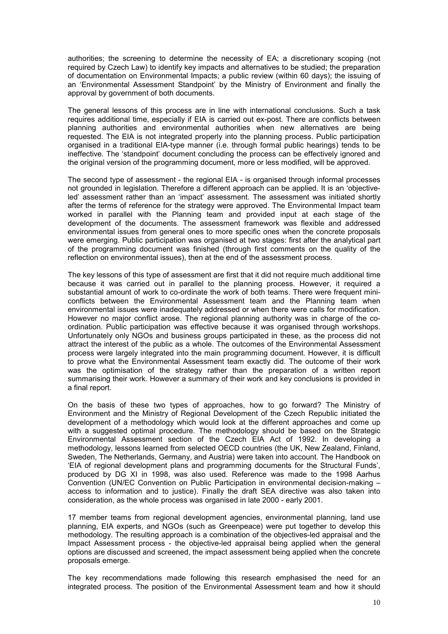authorities; the screening to determine the necessity of EA; a discretionary scoping (not required by Czech Law) to identify key impacts and alternatives to be studied; the preparation of documentation on Environmental Impacts; a public review (within 60 days); the issuing of an 'Environmental Assessment Standpoint' by the Ministry of Environment and finally the approval by government of both documents.

The general lessons of this process are in line with international conclusions. Such a task requires additional time, especially if EIA is carried out ex-post. There are conflicts between planning authorities and environmental authorities when new alternatives are being requested. The EIA is not integrated properly into the planning process. Public participation organised in a traditional EIA-type manner (i.e. through formal public hearings) tends to be ineffective. The 'standpoint' document concluding the process can be effectively ignored and the original version of the programming document, more or less modified, will be approved.

The second type of assessment - the regional EIA - is organised through informal processes not grounded in legislation. Therefore a different approach can be applied. It is an 'objectiveled' assessment rather than an 'impact' assessment. The assessment was initiated shortly after the terms of reference for the strategy were approved. The Environmental Impact team worked in parallel with the Planning team and provided input at each stage of the development of the documents. The assessment framework was flexible and addressed environmental issues from general ones to more specific ones when the concrete proposals were emerging. Public participation was organised at two stages: first after the analytical part of the programming document was finished (through first comments on the quality of the reflection on environmental issues), then at the end of the assessment process.

The key lessons of this type of assessment are first that it did not require much additional time because it was carried out in parallel to the planning process. However, it required a substantial amount of work to co-ordinate the work of both teams. There were frequent miniconflicts between the Environmental Assessment team and the Planning team when environmental issues were inadequately addressed or when there were calls for modification. However no major conflict arose. The regional planning authority was in charge of the coordination. Public participation was effective because it was organised through workshops. Unfortunately only NGOs and business groups participated in these, as the process did not attract the interest of the public as a whole. The outcomes of the Environmental Assessment process were largely integrated into the main programming document. However, it is difficult to prove what the Environmental Assessment team exactly did. The outcome of their work was the optimisation of the strategy rather than the preparation of a written report summarising their work. However a summary of their work and key conclusions is provided in a final report.

On the basis of these two types of approaches, how to go forward? The Ministry of Environment and the Ministry of Regional Development of the Czech Republic initiated the development of a methodology which would look at the different approaches and come up with a suggested optimal procedure. The methodology should be based on the Strategic Environmental Assessment section of the Czech EIA Act of 1992. In developing a methodology, lessons learned from selected OECD countries (the UK, New Zealand, Finland, Sweden, The Netherlands, Germany, and Austria) were taken into account. The Handbook on ëEIA of regional development plans and programming documents for the Structural Fundsí, produced by DG XI in 1998, was also used. Reference was made to the 1998 Aarhus Convention (UN/EC Convention on Public Participation in environmental decision-making  $$ access to information and to justice). Finally the draft SEA directive was also taken into consideration, as the whole process was organised in late 2000 - early 2001.

17 member teams from regional development agencies, environmental planning, land use planning, EIA experts, and NGOs (such as Greenpeace) were put together to develop this methodology. The resulting approach is a combination of the objectives-led appraisal and the Impact Assessment process - the objective-led appraisal being applied when the general options are discussed and screened, the impact assessment being applied when the concrete proposals emerge.

The key recommendations made following this research emphasised the need for an integrated process. The position of the Environmental Assessment team and how it should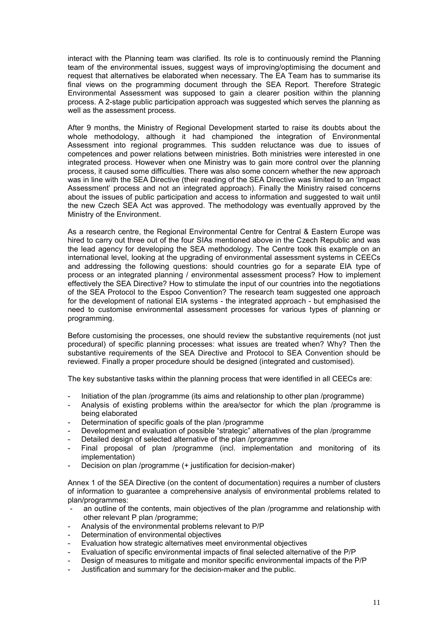interact with the Planning team was clarified. Its role is to continuously remind the Planning team of the environmental issues, suggest ways of improving/optimising the document and request that alternatives be elaborated when necessary. The EA Team has to summarise its final views on the programming document through the SEA Report. Therefore Strategic Environmental Assessment was supposed to gain a clearer position within the planning process. A 2-stage public participation approach was suggested which serves the planning as well as the assessment process.

After 9 months, the Ministry of Regional Development started to raise its doubts about the whole methodology, although it had championed the integration of Environmental Assessment into regional programmes. This sudden reluctance was due to issues of competences and power relations between ministries. Both ministries were interested in one integrated process. However when one Ministry was to gain more control over the planning process, it caused some difficulties. There was also some concern whether the new approach was in line with the SEA Directive (their reading of the SEA Directive was limited to an 'Impact Assessmentí process and not an integrated approach). Finally the Ministry raised concerns about the issues of public participation and access to information and suggested to wait until the new Czech SEA Act was approved. The methodology was eventually approved by the Ministry of the Environment.

As a research centre, the Regional Environmental Centre for Central & Eastern Europe was hired to carry out three out of the four SIAs mentioned above in the Czech Republic and was the lead agency for developing the SEA methodology. The Centre took this example on an international level, looking at the upgrading of environmental assessment systems in CEECs and addressing the following questions: should countries go for a separate EIA type of process or an integrated planning / environmental assessment process? How to implement effectively the SEA Directive? How to stimulate the input of our countries into the negotiations of the SEA Protocol to the Espoo Convention? The research team suggested one approach for the development of national EIA systems - the integrated approach - but emphasised the need to customise environmental assessment processes for various types of planning or programming.

Before customising the processes, one should review the substantive requirements (not just procedural) of specific planning processes: what issues are treated when? Why? Then the substantive requirements of the SEA Directive and Protocol to SEA Convention should be reviewed. Finally a proper procedure should be designed (integrated and customised).

The key substantive tasks within the planning process that were identified in all CEECs are:

- Initiation of the plan /programme (its aims and relationship to other plan /programme)
- Analysis of existing problems within the area/sector for which the plan /programme is being elaborated
- Determination of specific goals of the plan /programme
- Development and evaluation of possible "strategic" alternatives of the plan /programme
- Detailed design of selected alternative of the plan /programme
- Final proposal of plan /programme (incl. implementation and monitoring of its implementation)
- Decision on plan /programme (+ justification for decision-maker)

Annex 1 of the SEA Directive (on the content of documentation) requires a number of clusters of information to guarantee a comprehensive analysis of environmental problems related to plan/programmes:

- an outline of the contents, main objectives of the plan /programme and relationship with other relevant P plan /programme;
- Analysis of the environmental problems relevant to P/P
- Determination of environmental objectives
- Evaluation how strategic alternatives meet environmental objectives
- Evaluation of specific environmental impacts of final selected alternative of the P/P
- Design of measures to mitigate and monitor specific environmental impacts of the P/P
- Justification and summary for the decision-maker and the public.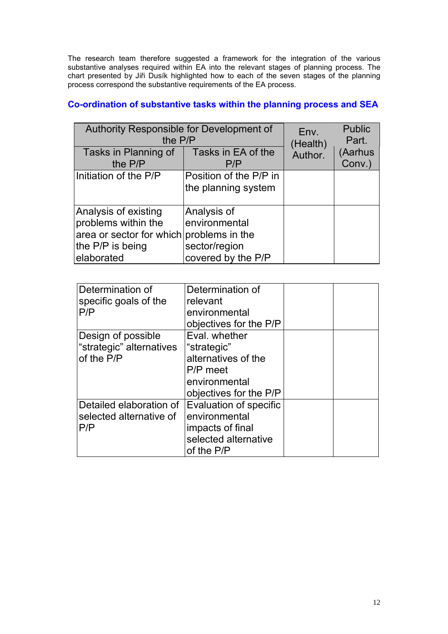The research team therefore suggested a framework for the integration of the various substantive analyses required within EA into the relevant stages of planning process. The chart presented by Jiři Dusík highlighted how to each of the seven stages of the planning process correspond the substantive requirements of the EA process.

| Authority Responsible for Development of<br>the P/P                                                                       | Env.<br>(Health)                                                    | <b>Public</b><br>Part. |                   |
|---------------------------------------------------------------------------------------------------------------------------|---------------------------------------------------------------------|------------------------|-------------------|
| Tasks in Planning of<br>the P/P                                                                                           | Tasks in EA of the<br>P/P                                           | Author.                | (Aarhus<br>Conv.) |
| Initiation of the P/P                                                                                                     | Position of the P/P in<br>the planning system                       |                        |                   |
| Analysis of existing<br>problems within the<br>area or sector for which problems in the<br>the P/P is being<br>elaborated | Analysis of<br>environmental<br>sector/region<br>covered by the P/P |                        |                   |

# **Co-ordination of substantive tasks within the planning process and SEA**

| Determination of             | Determination of       |  |
|------------------------------|------------------------|--|
| specific goals of the<br>P/P | relevant               |  |
|                              | environmental          |  |
|                              | objectives for the P/P |  |
| Design of possible           | Eval. whether          |  |
| "strategic" alternatives     | "strategic"            |  |
| of the P/P                   | alternatives of the    |  |
|                              | P/P meet               |  |
|                              | environmental          |  |
|                              | objectives for the P/P |  |
| Detailed elaboration of      | Evaluation of specific |  |
| selected alternative of      | environmental          |  |
| P/P                          | impacts of final       |  |
|                              | selected alternative   |  |
|                              | of the P/P             |  |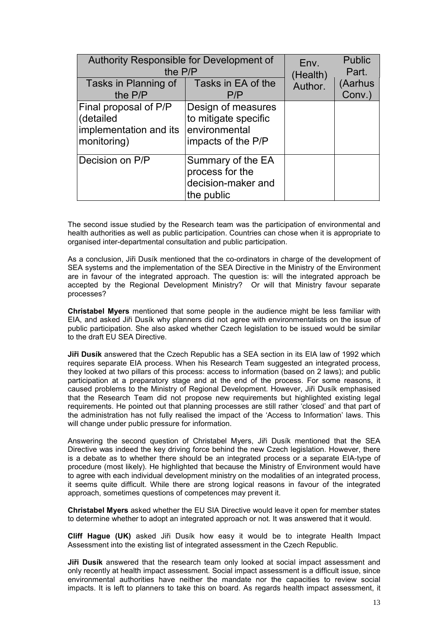| Authority Responsible for Development of                                    | Env.                                                                              | <b>Public</b> |         |
|-----------------------------------------------------------------------------|-----------------------------------------------------------------------------------|---------------|---------|
| the P/P                                                                     | (Health)                                                                          | Part.         |         |
| Tasks in Planning of                                                        | Tasks in EA of the                                                                | Author.       | (Aarhus |
| the P/P                                                                     | P/P                                                                               |               | Conv.)  |
| Final proposal of P/P<br>(detailed<br>implementation and its<br>monitoring) | Design of measures<br>to mitigate specific<br>environmental<br>impacts of the P/P |               |         |
| Decision on P/P                                                             | Summary of the EA<br>process for the<br>decision-maker and<br>the public          |               |         |

The second issue studied by the Research team was the participation of environmental and health authorities as well as public participation. Countries can chose when it is appropriate to organised inter-departmental consultation and public participation.

As a conclusion, Jiři Dusík mentioned that the co-ordinators in charge of the development of SEA systems and the implementation of the SEA Directive in the Ministry of the Environment are in favour of the integrated approach. The question is: will the integrated approach be accepted by the Regional Development Ministry? Or will that Ministry favour separate processes?

**Christabel Myers** mentioned that some people in the audience might be less familiar with EIA, and asked Jiři Dusík why planners did not agree with environmentalists on the issue of public participation. She also asked whether Czech legislation to be issued would be similar to the draft EU SEA Directive.

**Jiři DusÌk** answered that the Czech Republic has a SEA section in its EIA law of 1992 which requires separate EIA process. When his Research Team suggested an integrated process, they looked at two pillars of this process: access to information (based on 2 laws); and public participation at a preparatory stage and at the end of the process. For some reasons, it caused problems to the Ministry of Regional Development. However, Jiři Dusík emphasised that the Research Team did not propose new requirements but highlighted existing legal requirements. He pointed out that planning processes are still rather 'closed' and that part of the administration has not fully realised the impact of the 'Access to Information' laws. This will change under public pressure for information.

Answering the second question of Christabel Myers, Jiři Dusík mentioned that the SEA Directive was indeed the key driving force behind the new Czech legislation. However, there is a debate as to whether there should be an integrated process or a separate EIA-type of procedure (most likely). He highlighted that because the Ministry of Environment would have to agree with each individual development ministry on the modalities of an integrated process, it seems quite difficult. While there are strong logical reasons in favour of the integrated approach, sometimes questions of competences may prevent it.

**Christabel Myers** asked whether the EU SIA Directive would leave it open for member states to determine whether to adopt an integrated approach or not. It was answered that it would.

**Cliff Hague (UK)** asked Jiři Dusík how easy it would be to integrate Health Impact Assessment into the existing list of integrated assessment in the Czech Republic.

**Jiři DusÌk** answered that the research team only looked at social impact assessment and only recently at health impact assessment. Social impact assessment is a difficult issue, since environmental authorities have neither the mandate nor the capacities to review social impacts. It is left to planners to take this on board. As regards health impact assessment, it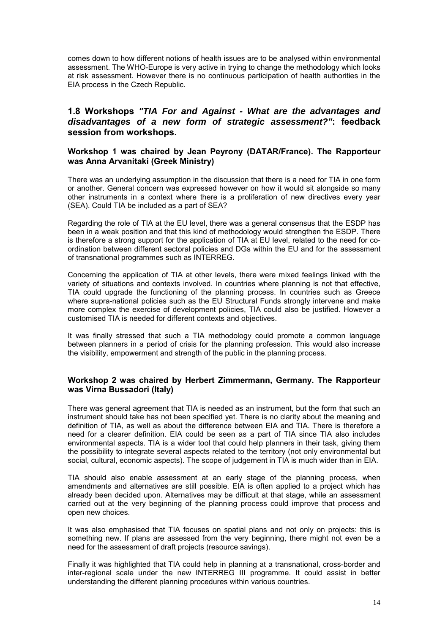comes down to how different notions of health issues are to be analysed within environmental assessment. The WHO-Europe is very active in trying to change the methodology which looks at risk assessment. However there is no continuous participation of health authorities in the EIA process in the Czech Republic.

# **1.8 Workshops** *"TIA For and Against - What are the advantages and disadvantages of a new form of strategic assessment?"***: feedback session from workshops.**

## **Workshop 1 was chaired by Jean Peyrony (DATAR/France). The Rapporteur was Anna Arvanitaki (Greek Ministry)**

There was an underlying assumption in the discussion that there is a need for TIA in one form or another. General concern was expressed however on how it would sit alongside so many other instruments in a context where there is a proliferation of new directives every year (SEA). Could TIA be included as a part of SEA?

Regarding the role of TIA at the EU level, there was a general consensus that the ESDP has been in a weak position and that this kind of methodology would strengthen the ESDP. There is therefore a strong support for the application of TIA at EU level, related to the need for coordination between different sectoral policies and DGs within the EU and for the assessment of transnational programmes such as INTERREG.

Concerning the application of TIA at other levels, there were mixed feelings linked with the variety of situations and contexts involved. In countries where planning is not that effective, TIA could upgrade the functioning of the planning process. In countries such as Greece where supra-national policies such as the EU Structural Funds strongly intervene and make more complex the exercise of development policies, TIA could also be justified. However a customised TIA is needed for different contexts and objectives.

It was finally stressed that such a TIA methodology could promote a common language between planners in a period of crisis for the planning profession. This would also increase the visibility, empowerment and strength of the public in the planning process.

## **Workshop 2 was chaired by Herbert Zimmermann, Germany. The Rapporteur was Virna Bussadori (Italy)**

There was general agreement that TIA is needed as an instrument, but the form that such an instrument should take has not been specified yet. There is no clarity about the meaning and definition of TIA, as well as about the difference between EIA and TIA. There is therefore a need for a clearer definition. EIA could be seen as a part of TIA since TIA also includes environmental aspects. TIA is a wider tool that could help planners in their task, giving them the possibility to integrate several aspects related to the territory (not only environmental but social, cultural, economic aspects). The scope of judgement in TIA is much wider than in EIA.

TIA should also enable assessment at an early stage of the planning process, when amendments and alternatives are still possible. EIA is often applied to a project which has already been decided upon. Alternatives may be difficult at that stage, while an assessment carried out at the very beginning of the planning process could improve that process and open new choices.

It was also emphasised that TIA focuses on spatial plans and not only on projects: this is something new. If plans are assessed from the very beginning, there might not even be a need for the assessment of draft projects (resource savings).

Finally it was highlighted that TIA could help in planning at a transnational, cross-border and inter-regional scale under the new INTERREG III programme. It could assist in better understanding the different planning procedures within various countries.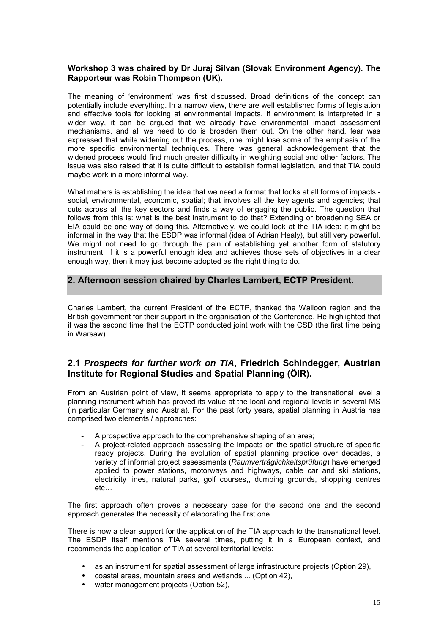## **Workshop 3 was chaired by Dr Juraj Silvan (Slovak Environment Agency). The Rapporteur was Robin Thompson (UK).**

The meaning of 'environment' was first discussed. Broad definitions of the concept can potentially include everything. In a narrow view, there are well established forms of legislation and effective tools for looking at environmental impacts. If environment is interpreted in a wider way, it can be argued that we already have environmental impact assessment mechanisms, and all we need to do is broaden them out. On the other hand, fear was expressed that while widening out the process, one might lose some of the emphasis of the more specific environmental techniques. There was general acknowledgement that the widened process would find much greater difficulty in weighting social and other factors. The issue was also raised that it is quite difficult to establish formal legislation, and that TIA could maybe work in a more informal way.

What matters is establishing the idea that we need a format that looks at all forms of impacts social, environmental, economic, spatial; that involves all the key agents and agencies; that cuts across all the key sectors and finds a way of engaging the public. The question that follows from this is: what is the best instrument to do that? Extending or broadening SEA or EIA could be one way of doing this. Alternatively, we could look at the TIA idea: it might be informal in the way that the ESDP was informal (idea of Adrian Healy), but still very powerful. We might not need to go through the pain of establishing yet another form of statutory instrument. If it is a powerful enough idea and achieves those sets of objectives in a clear enough way, then it may just become adopted as the right thing to do.

# **2. Afternoon session chaired by Charles Lambert, ECTP President.**

Charles Lambert, the current President of the ECTP, thanked the Walloon region and the British government for their support in the organisation of the Conference. He highlighted that it was the second time that the ECTP conducted joint work with the CSD (the first time being in Warsaw).

# **2.1** *Prospects for further work on TIA***, Friedrich Schindegger, Austrian Institute for Regional Studies and Spatial Planning (ÖIR).**

From an Austrian point of view, it seems appropriate to apply to the transnational level a planning instrument which has proved its value at the local and regional levels in several MS (in particular Germany and Austria). For the past forty years, spatial planning in Austria has comprised two elements / approaches:

- A prospective approach to the comprehensive shaping of an area;
- A project-related approach assessing the impacts on the spatial structure of specific ready projects. During the evolution of spatial planning practice over decades, a variety of informal project assessments (*Raumverträglichkeitsprüfung*) have emerged applied to power stations, motorways and highways, cable car and ski stations, electricity lines, natural parks, golf courses,, dumping grounds, shopping centres  $etc...$

The first approach often proves a necessary base for the second one and the second approach generates the necessity of elaborating the first one.

There is now a clear support for the application of the TIA approach to the transnational level. The ESDP itself mentions TIA several times, putting it in a European context, and recommends the application of TIA at several territorial levels:

- as an instrument for spatial assessment of large infrastructure projects (Option 29),
- coastal areas, mountain areas and wetlands ... (Option 42),
- water management projects (Option 52).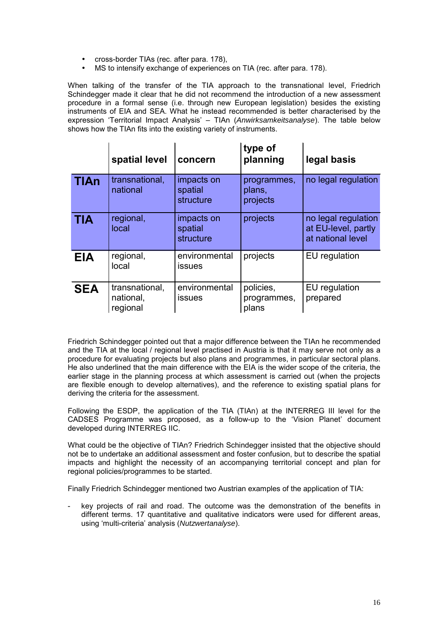- cross-border TIAs (rec. after para. 178),
- MS to intensify exchange of experiences on TIA (rec. after para, 178).

When talking of the transfer of the TIA approach to the transnational level, Friedrich Schindegger made it clear that he did not recommend the introduction of a new assessment procedure in a formal sense (i.e. through new European legislation) besides the existing instruments of EIA and SEA. What he instead recommended is better characterised by the expression 'Territorial Impact Analysis' – TIAn (Anwirksamkeitsanalyse). The table below shows how the TIAn fits into the existing variety of instruments.

|            | spatial level                           | concern                            | type of<br>planning               | legal basis                                                     |
|------------|-----------------------------------------|------------------------------------|-----------------------------------|-----------------------------------------------------------------|
| FIAn.      | transnational,<br>national              | impacts on<br>spatial<br>structure | programmes,<br>plans,<br>projects | no legal regulation                                             |
| EА         | regional,<br>local                      | impacts on<br>spatial<br>structure | projects                          | no legal regulation<br>at EU-level, partly<br>at national level |
| <b>EIA</b> | regional,<br>local                      | environmental<br><b>issues</b>     | projects                          | EU regulation                                                   |
| <b>SEA</b> | transnational,<br>national,<br>regional | environmental<br><b>issues</b>     | policies,<br>programmes,<br>plans | EU regulation<br>prepared                                       |

Friedrich Schindegger pointed out that a major difference between the TIAn he recommended and the TIA at the local / regional level practised in Austria is that it may serve not only as a procedure for evaluating projects but also plans and programmes, in particular sectoral plans. He also underlined that the main difference with the EIA is the wider scope of the criteria, the earlier stage in the planning process at which assessment is carried out (when the projects are flexible enough to develop alternatives), and the reference to existing spatial plans for deriving the criteria for the assessment.

Following the ESDP, the application of the TIA (TIAn) at the INTERREG III level for the CADSES Programme was proposed, as a follow-up to the 'Vision Planet' document developed during INTERREG IIC.

What could be the objective of TIAn? Friedrich Schindegger insisted that the objective should not be to undertake an additional assessment and foster confusion, but to describe the spatial impacts and highlight the necessity of an accompanying territorial concept and plan for regional policies/programmes to be started.

Finally Friedrich Schindegger mentioned two Austrian examples of the application of TIA:

key projects of rail and road. The outcome was the demonstration of the benefits in different terms. 17 quantitative and qualitative indicators were used for different areas, using ëmulti-criteriaí analysis (*Nutzwertanalyse*).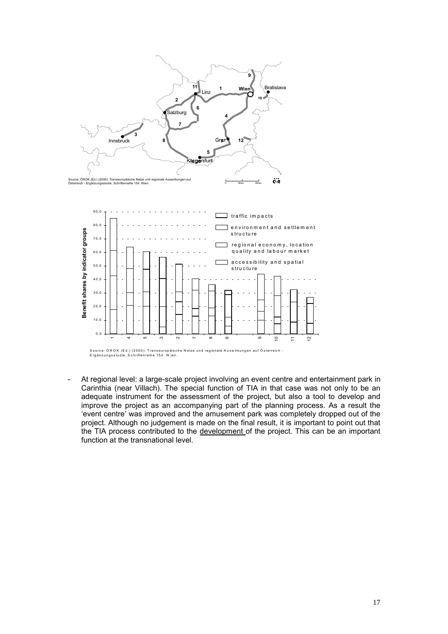

At regional level: a large-scale project involving an event centre and entertainment park in Carinthia (near Villach). The special function of TIA in that case was not only to be an adequate instrument for the assessment of the project, but also a tool to develop and improve the project as an accompanying part of the planning process. As a result the ëevent centreí was improved and the amusement park was completely dropped out of the project. Although no judgement is made on the final result, it is important to point out that the TIA process contributed to the development of the project. This can be an important function at the transnational level.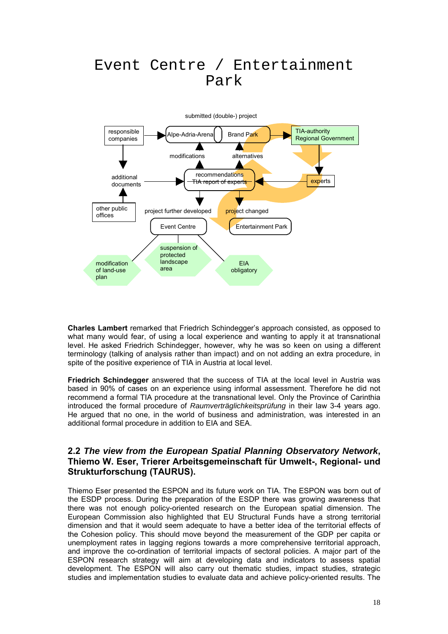# Event Centre / Entertainment Park



**Charles Lambert** remarked that Friedrich Schindeggerís approach consisted, as opposed to what many would fear, of using a local experience and wanting to apply it at transnational level. He asked Friedrich Schindegger, however, why he was so keen on using a different terminology (talking of analysis rather than impact) and on not adding an extra procedure, in spite of the positive experience of TIA in Austria at local level.

**Friedrich Schindegger** answered that the success of TIA at the local level in Austria was based in 90% of cases on an experience using informal assessment. Therefore he did not recommend a formal TIA procedure at the transnational level. Only the Province of Carinthia introduced the formal procedure of *Raumverträglichkeitsprüfung* in their law 3-4 years ago. He argued that no one, in the world of business and administration, was interested in an additional formal procedure in addition to EIA and SEA.

# **2.2** *The view from the European Spatial Planning Observatory Network***, Thiemo W. Eser, Trierer Arbeitsgemeinschaft für Umwelt-, Regional- und Strukturforschung (TAURUS).**

Thiemo Eser presented the ESPON and its future work on TIA. The ESPON was born out of the ESDP process. During the preparation of the ESDP there was growing awareness that there was not enough policy-oriented research on the European spatial dimension. The European Commission also highlighted that EU Structural Funds have a strong territorial dimension and that it would seem adequate to have a better idea of the territorial effects of the Cohesion policy. This should move beyond the measurement of the GDP per capita or unemployment rates in lagging regions towards a more comprehensive territorial approach, and improve the co-ordination of territorial impacts of sectoral policies. A major part of the ESPON research strategy will aim at developing data and indicators to assess spatial development. The ESPON will also carry out thematic studies, impact studies, strategic studies and implementation studies to evaluate data and achieve policy-oriented results. The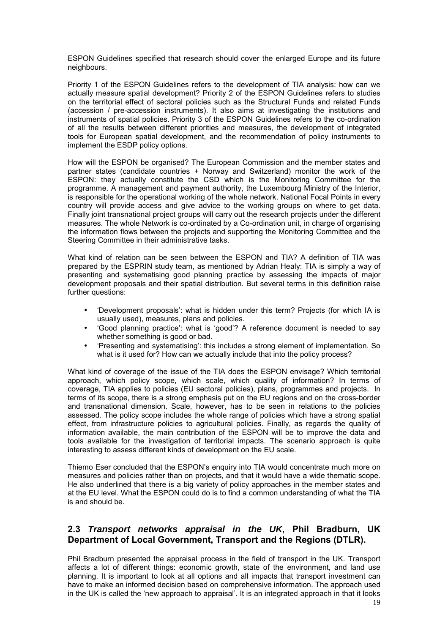ESPON Guidelines specified that research should cover the enlarged Europe and its future neighbours.

Priority 1 of the ESPON Guidelines refers to the development of TIA analysis: how can we actually measure spatial development? Priority 2 of the ESPON Guidelines refers to studies on the territorial effect of sectoral policies such as the Structural Funds and related Funds (accession / pre-accession instruments). It also aims at investigating the institutions and instruments of spatial policies. Priority 3 of the ESPON Guidelines refers to the co-ordination of all the results between different priorities and measures, the development of integrated tools for European spatial development, and the recommendation of policy instruments to implement the ESDP policy options.

How will the ESPON be organised? The European Commission and the member states and partner states (candidate countries + Norway and Switzerland) monitor the work of the ESPON: they actually constitute the CSD which is the Monitoring Committee for the programme. A management and payment authority, the Luxembourg Ministry of the Interior, is responsible for the operational working of the whole network. National Focal Points in every country will provide access and give advice to the working groups on where to get data. Finally joint transnational project groups will carry out the research projects under the different measures. The whole Network is co-ordinated by a Co-ordination unit, in charge of organising the information flows between the projects and supporting the Monitoring Committee and the Steering Committee in their administrative tasks.

What kind of relation can be seen between the ESPON and TIA? A definition of TIA was prepared by the ESPRIN study team, as mentioned by Adrian Healy: TIA is simply a way of presenting and systematising good planning practice by assessing the impacts of major development proposals and their spatial distribution. But several terms in this definition raise further questions:

- ëDevelopment proposalsí: what is hidden under this term? Projects (for which IA is usually used), measures, plans and policies.
- ëGood planning practiceí: what is ëgoodí? A reference document is needed to say whether something is good or bad.
- ëPresenting and systematisingí: this includes a strong element of implementation. So what is it used for? How can we actually include that into the policy process?

What kind of coverage of the issue of the TIA does the ESPON envisage? Which territorial approach, which policy scope, which scale, which quality of information? In terms of coverage, TIA applies to policies (EU sectoral policies), plans, programmes and projects. In terms of its scope, there is a strong emphasis put on the EU regions and on the cross-border and transnational dimension. Scale, however, has to be seen in relations to the policies assessed. The policy scope includes the whole range of policies which have a strong spatial effect, from infrastructure policies to agricultural policies. Finally, as regards the quality of information available, the main contribution of the ESPON will be to improve the data and tools available for the investigation of territorial impacts. The scenario approach is quite interesting to assess different kinds of development on the EU scale.

Thiemo Eser concluded that the ESPON's enquiry into TIA would concentrate much more on measures and policies rather than on projects, and that it would have a wide thematic scope. He also underlined that there is a big variety of policy approaches in the member states and at the EU level. What the ESPON could do is to find a common understanding of what the TIA is and should be.

# **2.3** *Transport networks appraisal in the UK***, Phil Bradburn, UK Department of Local Government, Transport and the Regions (DTLR).**

Phil Bradburn presented the appraisal process in the field of transport in the UK. Transport affects a lot of different things: economic growth, state of the environment, and land use planning. It is important to look at all options and all impacts that transport investment can have to make an informed decision based on comprehensive information. The approach used in the UK is called the 'new approach to appraisal'. It is an integrated approach in that it looks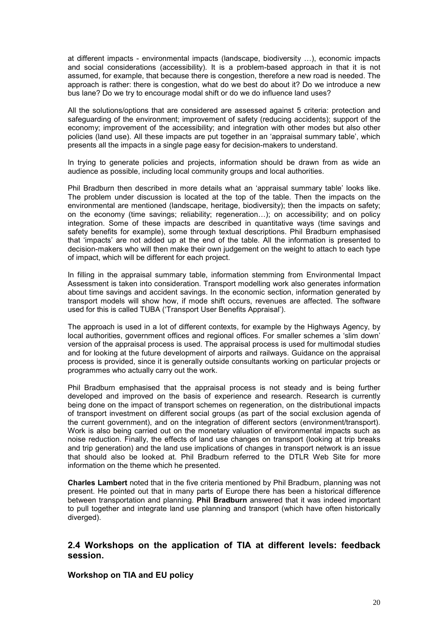at different impacts - environmental impacts (landscape, biodiversity ...), economic impacts and social considerations (accessibility). It is a problem-based approach in that it is not assumed, for example, that because there is congestion, therefore a new road is needed. The approach is rather: there is congestion, what do we best do about it? Do we introduce a new bus lane? Do we try to encourage modal shift or do we do influence land uses?

All the solutions/options that are considered are assessed against 5 criteria: protection and safeguarding of the environment; improvement of safety (reducing accidents); support of the economy; improvement of the accessibility; and integration with other modes but also other policies (land use). All these impacts are put together in an 'appraisal summary table', which presents all the impacts in a single page easy for decision-makers to understand.

In trying to generate policies and projects, information should be drawn from as wide an audience as possible, including local community groups and local authorities.

Phil Bradburn then described in more details what an 'appraisal summary table' looks like. The problem under discussion is located at the top of the table. Then the impacts on the environmental are mentioned (landscape, heritage, biodiversity); then the impacts on safety; on the economy (time savings; reliability; regeneration...); on accessibility; and on policy integration. Some of these impacts are described in quantitative ways (time savings and safety benefits for example), some through textual descriptions. Phil Bradburn emphasised that ëimpactsí are not added up at the end of the table. All the information is presented to decision-makers who will then make their own judgement on the weight to attach to each type of impact, which will be different for each project.

In filling in the appraisal summary table, information stemming from Environmental Impact Assessment is taken into consideration. Transport modelling work also generates information about time savings and accident savings. In the economic section, information generated by transport models will show how, if mode shift occurs, revenues are affected. The software used for this is called TUBA ('Transport User Benefits Appraisal').

The approach is used in a lot of different contexts, for example by the Highways Agency, by local authorities, government offices and regional offices. For smaller schemes a 'slim down' version of the appraisal process is used. The appraisal process is used for multimodal studies and for looking at the future development of airports and railways. Guidance on the appraisal process is provided, since it is generally outside consultants working on particular projects or programmes who actually carry out the work.

Phil Bradburn emphasised that the appraisal process is not steady and is being further developed and improved on the basis of experience and research. Research is currently being done on the impact of transport schemes on regeneration, on the distributional impacts of transport investment on different social groups (as part of the social exclusion agenda of the current government), and on the integration of different sectors (environment/transport). Work is also being carried out on the monetary valuation of environmental impacts such as noise reduction. Finally, the effects of land use changes on transport (looking at trip breaks and trip generation) and the land use implications of changes in transport network is an issue that should also be looked at. Phil Bradburn referred to the DTLR Web Site for more information on the theme which he presented.

**Charles Lambert** noted that in the five criteria mentioned by Phil Bradburn, planning was not present. He pointed out that in many parts of Europe there has been a historical difference between transportation and planning. **Phil Bradburn** answered that it was indeed important to pull together and integrate land use planning and transport (which have often historically diverged).

## **2.4 Workshops on the application of TIA at different levels: feedback session.**

## **Workshop on TIA and EU policy**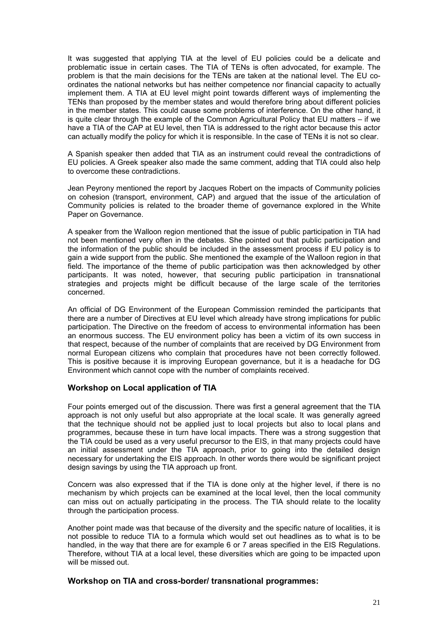It was suggested that applying TIA at the level of EU policies could be a delicate and problematic issue in certain cases. The TIA of TENs is often advocated, for example. The problem is that the main decisions for the TENs are taken at the national level. The EU coordinates the national networks but has neither competence nor financial capacity to actually implement them. A TIA at EU level might point towards different ways of implementing the TENs than proposed by the member states and would therefore bring about different policies in the member states. This could cause some problems of interference. On the other hand, it is quite clear through the example of the Common Agricultural Policy that EU matters – if we have a TIA of the CAP at EU level, then TIA is addressed to the right actor because this actor can actually modify the policy for which it is responsible. In the case of TENs it is not so clear.

A Spanish speaker then added that TIA as an instrument could reveal the contradictions of EU policies. A Greek speaker also made the same comment, adding that TIA could also help to overcome these contradictions.

Jean Peyrony mentioned the report by Jacques Robert on the impacts of Community policies on cohesion (transport, environment, CAP) and argued that the issue of the articulation of Community policies is related to the broader theme of governance explored in the White Paper on Governance.

A speaker from the Walloon region mentioned that the issue of public participation in TIA had not been mentioned very often in the debates. She pointed out that public participation and the information of the public should be included in the assessment process if EU policy is to gain a wide support from the public. She mentioned the example of the Walloon region in that field. The importance of the theme of public participation was then acknowledged by other participants. It was noted, however, that securing public participation in transnational strategies and projects might be difficult because of the large scale of the territories concerned.

An official of DG Environment of the European Commission reminded the participants that there are a number of Directives at EU level which already have strong implications for public participation. The Directive on the freedom of access to environmental information has been an enormous success. The EU environment policy has been a victim of its own success in that respect, because of the number of complaints that are received by DG Environment from normal European citizens who complain that procedures have not been correctly followed. This is positive because it is improving European governance, but it is a headache for DG Environment which cannot cope with the number of complaints received.

## **Workshop on Local application of TIA**

Four points emerged out of the discussion. There was first a general agreement that the TIA approach is not only useful but also appropriate at the local scale. It was generally agreed that the technique should not be applied just to local projects but also to local plans and programmes, because these in turn have local impacts. There was a strong suggestion that the TIA could be used as a very useful precursor to the EIS, in that many projects could have an initial assessment under the TIA approach, prior to going into the detailed design necessary for undertaking the EIS approach. In other words there would be significant project design savings by using the TIA approach up front.

Concern was also expressed that if the TIA is done only at the higher level, if there is no mechanism by which projects can be examined at the local level, then the local community can miss out on actually participating in the process. The TIA should relate to the locality through the participation process.

Another point made was that because of the diversity and the specific nature of localities, it is not possible to reduce TIA to a formula which would set out headlines as to what is to be handled, in the way that there are for example 6 or 7 areas specified in the EIS Regulations. Therefore, without TIA at a local level, these diversities which are going to be impacted upon will be missed out.

## **Workshop on TIA and cross-border/ transnational programmes:**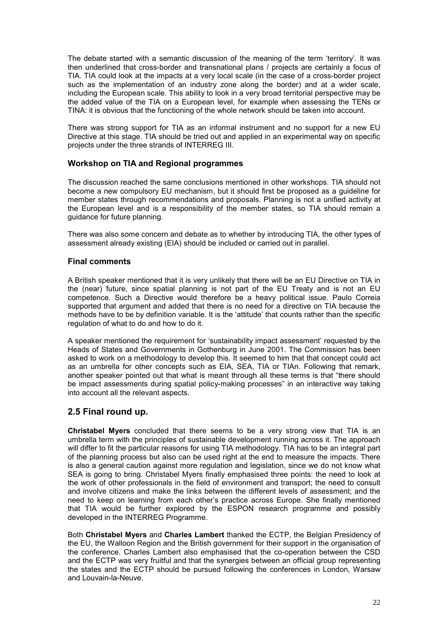The debate started with a semantic discussion of the meaning of the term 'territory'. It was then underlined that cross-border and transnational plans / projects are certainly a focus of TIA. TIA could look at the impacts at a very local scale (in the case of a cross-border project such as the implementation of an industry zone along the border) and at a wider scale, including the European scale. This ability to look in a very broad territorial perspective may be the added value of the TIA on a European level, for example when assessing the TENs or TINA: it is obvious that the functioning of the whole network should be taken into account.

There was strong support for TIA as an informal instrument and no support for a new EU Directive at this stage. TIA should be tried out and applied in an experimental way on specific projects under the three strands of INTERREG III.

## **Workshop on TIA and Regional programmes**

The discussion reached the same conclusions mentioned in other workshops. TIA should not become a new compulsory EU mechanism, but it should first be proposed as a guideline for member states through recommendations and proposals. Planning is not a unified activity at the European level and is a responsibility of the member states, so TIA should remain a guidance for future planning.

There was also some concern and debate as to whether by introducing TIA, the other types of assessment already existing (EIA) should be included or carried out in parallel.

## **Final comments**

A British speaker mentioned that it is very unlikely that there will be an EU Directive on TIA in the (near) future, since spatial planning is not part of the EU Treaty and is not an EU competence. Such a Directive would therefore be a heavy political issue. Paulo Correia supported that argument and added that there is no need for a directive on TIA because the methods have to be by definition variable. It is the 'attitude' that counts rather than the specific regulation of what to do and how to do it.

A speaker mentioned the requirement for 'sustainability impact assessment' requested by the Heads of States and Governments in Gothenburg in June 2001. The Commission has been asked to work on a methodology to develop this. It seemed to him that that concept could act as an umbrella for other concepts such as EIA, SEA, TIA or TIAn. Following that remark, another speaker pointed out that what is meant through all these terms is that "there should be impact assessments during spatial policy-making processes" in an interactive way taking into account all the relevant aspects.

## **2.5 Final round up.**

**Christabel Myers** concluded that there seems to be a very strong view that TIA is an umbrella term with the principles of sustainable development running across it. The approach will differ to fit the particular reasons for using TIA methodology. TIA has to be an integral part of the planning process but also can be used right at the end to measure the impacts. There is also a general caution against more regulation and legislation, since we do not know what SEA is going to bring. Christabel Myers finally emphasised three points: the need to look at the work of other professionals in the field of environment and transport; the need to consult and involve citizens and make the links between the different levels of assessment; and the need to keep on learning from each otherís practice across Europe. She finally mentioned that TIA would be further explored by the ESPON research programme and possibly developed in the INTERREG Programme.

Both **Christabel Myers** and **Charles Lambert** thanked the ECTP, the Belgian Presidency of the EU, the Walloon Region and the British government for their support in the organisation of the conference. Charles Lambert also emphasised that the co-operation between the CSD and the ECTP was very fruitful and that the synergies between an official group representing the states and the ECTP should be pursued following the conferences in London, Warsaw and Louvain-la-Neuve.